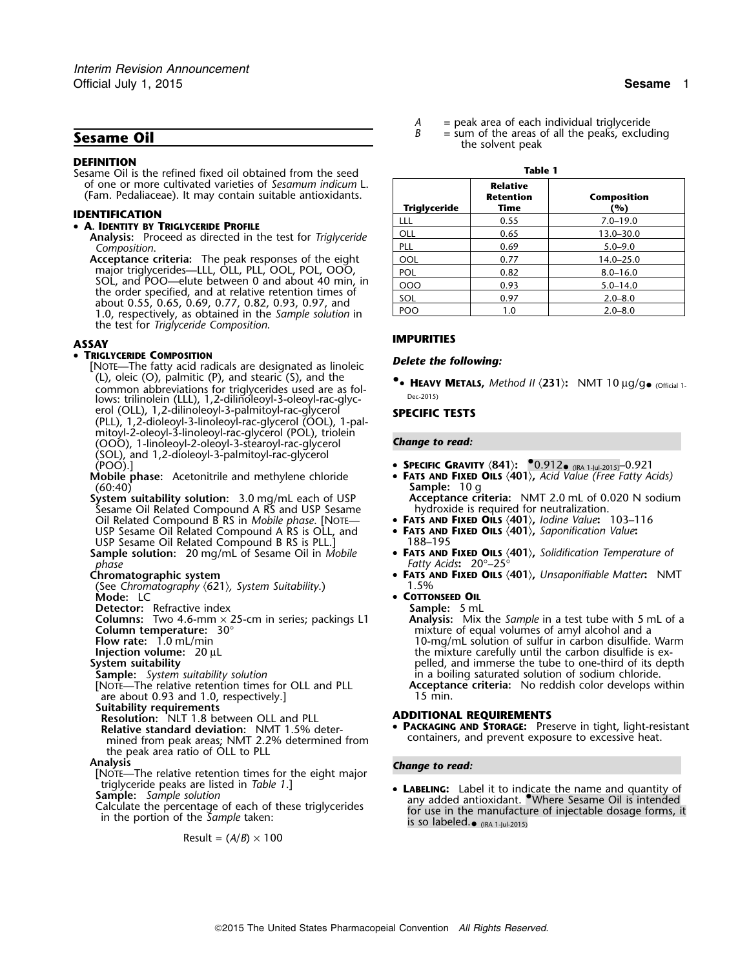## **DEFINITION**

## • **A. IDENTITY BY TRIGLYCERIDE PROFILE**

- Analysis: Proceed as directed in the test for *Triglyceride*<br>Composition. *Composition*. PLL 0.69 5.0–9.0
- **Acceptance criteria:** The peak responses of the eight  $\begin{array}{|c|c|c|c|c|c|}\hline & \text{OOL} & & 0.77 & & & 14.0-25.0\hline \end{array}$ major triglycerides—LLL, OLL, PLL, OOL, POL, OOO,  $\qquad \qquad | \quad_{\sf POL} \qquad \qquad | \qquad \quad_{\sf 0.82} \qquad \qquad \qquad 8.0 \text{--} 16.0$ SOL, and POO—elute between 0 and about 40 min, in<br>the order specified, and at relative retention times of<br>about 0.55, 0.65, 0.69, 0.77, 0.82, 0.93, 0.97, and<br>1.0, respectively, as obtained in the Sample solution in the test for *Triglyceride Composition*.

## • TRIGLYCERIDE COMPOSITION

- **TRIGLYCERIDE COMPOSITION**<br>[NOTE—The fatty acid radicals are designated as linoleic **Delete the following:** (L), oleic (O), palmitic (P), and stearic (S), and the **•**common abbreviations for triglycerides used are as fol-<br>lows: trilinolein (LLL), 1,2-dilinoleoyl-3-oleoyl-rac-glyc-<br>lows: trilinolein (LLL), 1,2-dilinoleoyl-3-oleoyl-rac-glycerol (OLL), 1,2-dilinoleoyl-3-palmitoyl-rac-glycerol **SPECIFIC TESTS**<br>(PLL), 1,2-dioleoyl-3-linoleoyl-rac-glycerol (OOL), 1-palmitoyl-2-oleoyl-3-linoleoyl-rac-glycerol (POL), triolein (OOO), 1-linoleoyl-2-oleoyl-3-stearoyl-rac-glycerol *Change to read:* (SOL), and 1,2-dioleoyl-3-palmitoyl-rac-glycerol (POO).] • **<sup>S</sup>PECIFIC GRAVITY** 〈**841**〉**:** •.0.912• (IRA 1-Jul-2015)–0.921
- (60:40) **Sample:** 10 g
- System suitability solution: 3.0 mg/mL each of USP **Acceptance criteria:** NMT 2.0 mL of 0.020 N sodium<br>Sesame Oil Related Compound A RS and USP Sesame **by any observance of a sequired** for neutralization. Sesame Oil Related Compound A RS and USP Sesame hydroxide is required for neutralization.<br>Oil Related Compound B RS in *Mobile phase*. [NOTE— **• FATS AND FIXED OILS**  $\langle 401 \rangle$ , *lodine Value*: 103–116 Oil Related Compound B RS in *Mobile phase*. [NOTE— • **<sup>F</sup>ATS AND FIXED OILS** 〈**401**〉**,** *Iodine Value***:** 103–116 USP Sesame Oil Related Compound A RS is OLL, and **• FATS AND**<br>
USP Sesame Oil Related Compound B RS is PLL.1 **188–195** USP Sesame Oil Related Compound B RS is PLL.]<br>**Sample solution:** 20 mg/mL of Sesame Oil in Mobile
- *phase Fatty Acids***:** 20°–25°

- (See Chromatography  $\langle 621 \rangle$ , System Suitability.)<br>**Mode:** LC
- 
- **Columns:** Two 4.6-mm × 25-cm in series; packings L1 **Column temperature:** 30°
- 
- 
- 
- 

- are about 0.93 and 1.0, respectively.]
- **Suitability requirements**
- **Resolution:** NLT 1.8 between OLL and PLL **ADDITIONAL REQUIREMENTS** Relative standard deviation: NMT 1.5% determined from peak areas; NMT 2.2% determined from the peak area ratio of OLL to PLL
- 
- **Analysis** *Change to read:* [NOTE—The relative retention times for the eight major triglyceride peaks are listed in *Table 1*.]<br>**Sample:** Sample solution
- 
- 

$$
Result = (A/B) \times 100
$$

 $\begin{array}{rcl} A & = & \text{peak area of each individual triglyceride} \\ B & = & \text{sum of the areas of all the peaks exclude} \end{array}$ **Sesame Oil Sesame Oil Sesame Oil Sesame Oil Sesame Oil** the solvent peaks, excluding the solvent peak

| DEFINITION<br>Sesame Oil is the refined fixed oil obtained from the seed                                               | Table 1      |                                      |                           |  |
|------------------------------------------------------------------------------------------------------------------------|--------------|--------------------------------------|---------------------------|--|
| of one or more cultivated varieties of Sesamum indicum L.<br>(Fam. Pedaliaceae). It may contain suitable antioxidants. | Triglyceride | <b>Relative</b><br>Retention<br>Time | <b>Composition</b><br>(%) |  |
| IDENTIFICATION                                                                                                         | ШL           | 0.55                                 | $7.0 - 19.0$              |  |
| • A. Identity by Triglyceride Profile                                                                                  | OLL          | 0.65                                 | $13.0 - 30.0$             |  |
| <b>Analysis:</b> Proceed as directed in the test for <i>Triglyceride</i><br>Composition.                               | <b>PLL</b>   | 0.69                                 | $5.0 - 9.0$               |  |
| Acceptance criteria: The peak responses of the eight                                                                   | OOL          | 0.77                                 | $14.0 - 25.0$             |  |
| major triglycerides—LLL, OLL, PLL, OOL, POL, OOO,                                                                      | <b>POL</b>   | 0.82                                 | $8.0 - 16.0$              |  |
| SOL, and POO—elute between 0 and about 40 min, in                                                                      | 000          | 0.93                                 | $5.0 - 14.0$              |  |
| the order specified, and at relative retention times of                                                                | SOL          | 0.97                                 | $2.0 - 8.0$               |  |
| about 0.55, 0.65, 0.69, 0.77, 0.82, 0.93, 0.97, and<br>1.0. respectively as obtained in the Cample solution in         | POO          | 1 N                                  | $20 - 80$                 |  |

## **IMPURITIES ASSAY**

**.**• **HEAVY METALS,** *Method II* 〈**231**〉**:** NMT 10 µg/g•

- 
- **Mobile phase:** Acetonitrile and methylene chloride **<sup>F</sup>ATS AND FIXED OILS** 〈**401**〉**,** *Acid Value (Free Fatty Acids)*
	-
	-
	- **FATS AND FIXED OILS**  $\langle 401 \rangle$ , Solidification Temperature of
	- **FATS** AND **FIXED OILS**  $\langle 401 \rangle$ , Unsaponifiable Matter**:** NMT<br>1.5%

# **COTTONSEED OIL**<br>Sample: 5 mL

**Detector:** Refractive index **Sample:** 5 mL<br>**Columns:** Two 4.6-mm × 25-cm in series; packings L1 **Analysis:** Mix the Sample in a test tube with 5 mL of a **Column temperature:**  $30^{\circ}$  mixture of equal volumes of amyl alcohol and a<br>**Flow rate:** 1.0 mL/min **and a** 10-mg/mL solution of sulfur in carbon disulfide. **Flow rate:** 1.0 mL/min 10-mg/mL solution of sulfur in carbon disulfide. Warm 10-mg/mL solution of sulfur in carbon disulfide. Warm 1<br>10-mg/mL solution of sulfide is ex-<br>the mixture carefully until the carbon disulfide is **Injection volume:** 20 µL the mixture carefully until the carbon disulfide is ex-<br>System suitability until the carbon disulfide is ex-<br>pelled, and immerse the tube to one-third of its dep **System suitability**<br> **System suitability** solution and the summerse the tube to one-third of its depth in a boiling saturated solution of sodium chloride. **Sample:** *System suitability solution* in a boiling saturated solution of sodium chloride.<br>[NOTE—The relative retention times for OLL and PLL **Acceptance criteria:** No reddish color develops w Acceptance criteria: No reddish color develops within<br>15 min.

**PACKAGING AND STORAGE:** Preserve in tight, light-resistant containers, and prevent exposure to excessive heat.

Trigivential peaks are listed in *Table 1*.]<br> **Sample:** Sample solution<br>
Calculate the percentage of each of these trigiverides<br>
in the portion of the Sample taken:<br>
is so labeled a max user in the manufacture of injectabl is so labeled. $\bullet$  (IRA 1-Jul-2015)